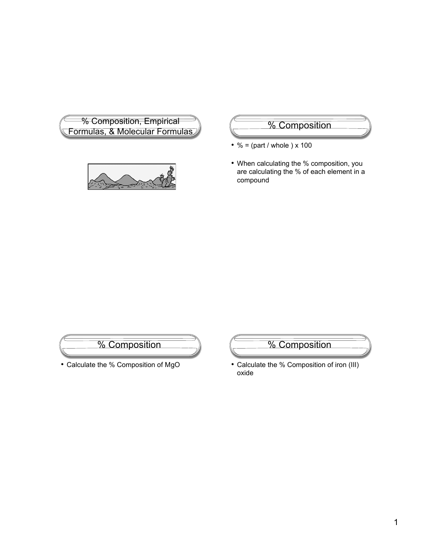



- $% = (part / whole) \times 100$
- When calculating the % composition, you are calculating the % of each element in a compound



• Calculate the % Composition of MgO

% Composition

• Calculate the % Composition of iron (III) oxide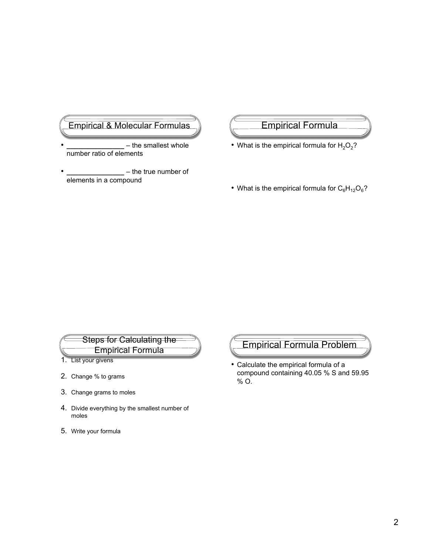# Empirical & Molecular Formulas

- **\_\_\_\_\_\_\_\_\_\_\_\_\_\_\_** the smallest whole number ratio of elements
- **\_\_\_\_\_\_\_\_\_\_\_\_\_\_\_** the true number of elements in a compound

### Empirical Formula

- What is the empirical formula for  $H_2O_2$ ?
- What is the empirical formula for  $C_6H_{12}O_6$ ?

# Steps for Calculating the Empirical Formula

- 1. List your givens
- 2. Change % to grams
- 3. Change grams to moles
- 4. Divide everything by the smallest number of moles
- 5. Write your formula

# Empirical Formula Problem

• Calculate the empirical formula of a compound containing 40.05 % S and 59.95 % O.